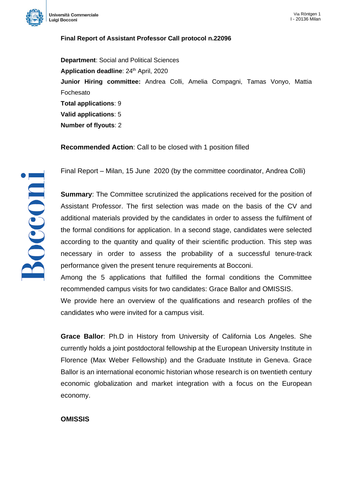

## **Final Report of Assistant Professor Call protocol n.22096**

**Department**: Social and Political Sciences **Application deadline: 24<sup>th</sup> April, 2020 Junior Hiring committee:** Andrea Colli, Amelia Compagni, Tamas Vonyo, Mattia Fochesato **Total applications**: 9 **Valid applications**: 5 **Number of flyouts**: 2

**Recommended Action**: Call to be closed with 1 position filled



Final Report – Milan, 15 June 2020 (by the committee coordinator, Andrea Colli)

**Summary**: The Committee scrutinized the applications received for the position of Assistant Professor. The first selection was made on the basis of the CV and additional materials provided by the candidates in order to assess the fulfilment of the formal conditions for application. In a second stage, candidates were selected according to the quantity and quality of their scientific production. This step was necessary in order to assess the probability of a successful tenure-track performance given the present tenure requirements at Bocconi.

Among the 5 applications that fulfilled the formal conditions the Committee recommended campus visits for two candidates: Grace Ballor and OMISSIS.

We provide here an overview of the qualifications and research profiles of the candidates who were invited for a campus visit.

**Grace Ballor**: Ph.D in History from University of California Los Angeles. She currently holds a joint postdoctoral fellowship at the European University Institute in Florence (Max Weber Fellowship) and the Graduate Institute in Geneva. Grace Ballor is an international economic historian whose research is on twentieth century economic globalization and market integration with a focus on the European economy.

## **OMISSIS**